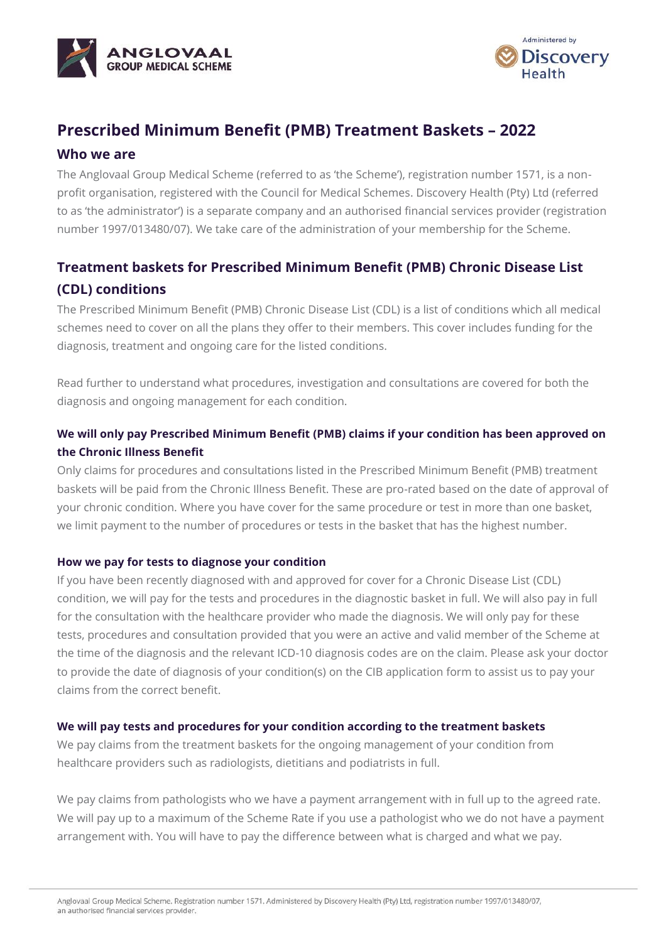



# **Prescribed Minimum Benefit (PMB) Treatment Baskets – 2022**

## **Who we are**

The Anglovaal Group Medical Scheme (referred to as 'the Scheme'), registration number 1571, is a nonprofit organisation, registered with the Council for Medical Schemes. Discovery Health (Pty) Ltd (referred to as 'the administrator') is a separate company and an authorised financial services provider (registration number 1997/013480/07). We take care of the administration of your membership for the Scheme.

# **Treatment baskets for Prescribed Minimum Benefit (PMB) Chronic Disease List (CDL) conditions**

The Prescribed Minimum Benefit (PMB) Chronic Disease List (CDL) is a list of conditions which all medical schemes need to cover on all the plans they offer to their members. This cover includes funding for the diagnosis, treatment and ongoing care for the listed conditions.

Read further to understand what procedures, investigation and consultations are covered for both the diagnosis and ongoing management for each condition.

# **We will only pay Prescribed Minimum Benefit (PMB) claims if your condition has been approved on the Chronic Illness Benefit**

Only claims for procedures and consultations listed in the Prescribed Minimum Benefit (PMB) treatment baskets will be paid from the Chronic Illness Benefit. These are pro-rated based on the date of approval of your chronic condition. Where you have cover for the same procedure or test in more than one basket, we limit payment to the number of procedures or tests in the basket that has the highest number.

### **How we pay for tests to diagnose your condition**

If you have been recently diagnosed with and approved for cover for a Chronic Disease List (CDL) condition, we will pay for the tests and procedures in the diagnostic basket in full. We will also pay in full for the consultation with the healthcare provider who made the diagnosis. We will only pay for these tests, procedures and consultation provided that you were an active and valid member of the Scheme at the time of the diagnosis and the relevant ICD-10 diagnosis codes are on the claim. Please ask your doctor to provide the date of diagnosis of your condition(s) on the CIB application form to assist us to pay your claims from the correct benefit.

### **We will pay tests and procedures for your condition according to the treatment baskets**

We pay claims from the treatment baskets for the ongoing management of your condition from healthcare providers such as radiologists, dietitians and podiatrists in full.

We pay claims from pathologists who we have a payment arrangement with in full up to the agreed rate. We will pay up to a maximum of the Scheme Rate if you use a pathologist who we do not have a payment arrangement with. You will have to pay the difference between what is charged and what we pay.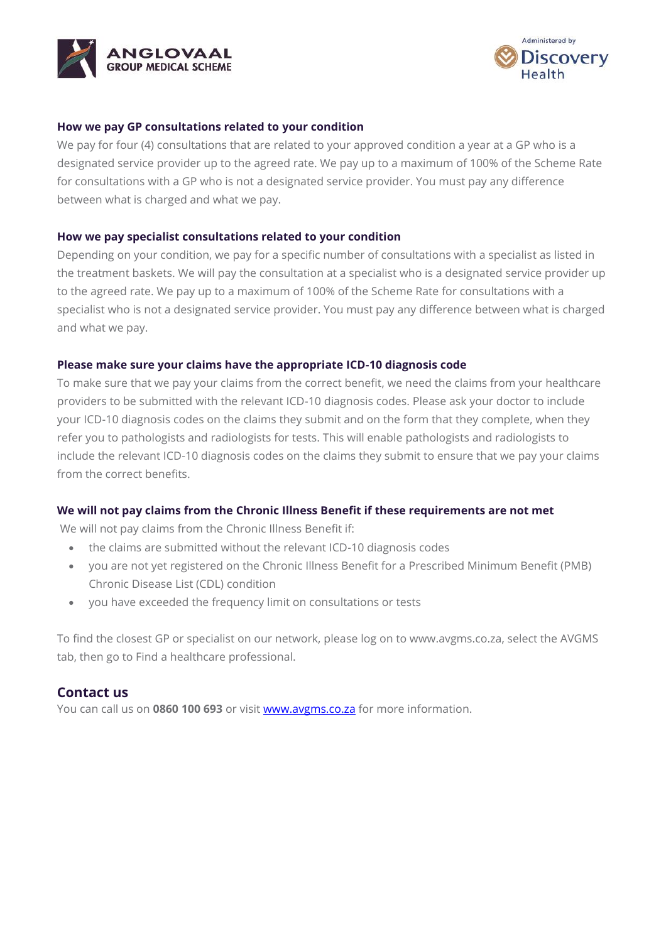



#### **How we pay GP consultations related to your condition**

We pay for four (4) consultations that are related to your approved condition a year at a GP who is a designated service provider up to the agreed rate. We pay up to a maximum of 100% of the Scheme Rate for consultations with a GP who is not a designated service provider. You must pay any difference between what is charged and what we pay.

#### **How we pay specialist consultations related to your condition**

Depending on your condition, we pay for a specific number of consultations with a specialist as listed in the treatment baskets. We will pay the consultation at a specialist who is a designated service provider up to the agreed rate. We pay up to a maximum of 100% of the Scheme Rate for consultations with a specialist who is not a designated service provider. You must pay any difference between what is charged and what we pay.

#### **Please make sure your claims have the appropriate ICD-10 diagnosis code**

To make sure that we pay your claims from the correct benefit, we need the claims from your healthcare providers to be submitted with the relevant ICD-10 diagnosis codes. Please ask your doctor to include your ICD-10 diagnosis codes on the claims they submit and on the form that they complete, when they refer you to pathologists and radiologists for tests. This will enable pathologists and radiologists to include the relevant ICD-10 diagnosis codes on the claims they submit to ensure that we pay your claims from the correct benefits.

### **We will not pay claims from the Chronic Illness Benefit if these requirements are not met**

We will not pay claims from the Chronic Illness Benefit if:

- the claims are submitted without the relevant ICD-10 diagnosis codes
- you are not yet registered on the Chronic Illness Benefit for a Prescribed Minimum Benefit (PMB) Chronic Disease List (CDL) condition
- you have exceeded the frequency limit on consultations or tests

To find the closest GP or specialist on our network, please log on to www.avgms.co.za, select the AVGMS tab, then go to Find a healthcare professional.

### **Contact us**

You can call us on **0860 100 693** or visit [www.avgms.co.za](http://www.avgms.co.za/) for more information.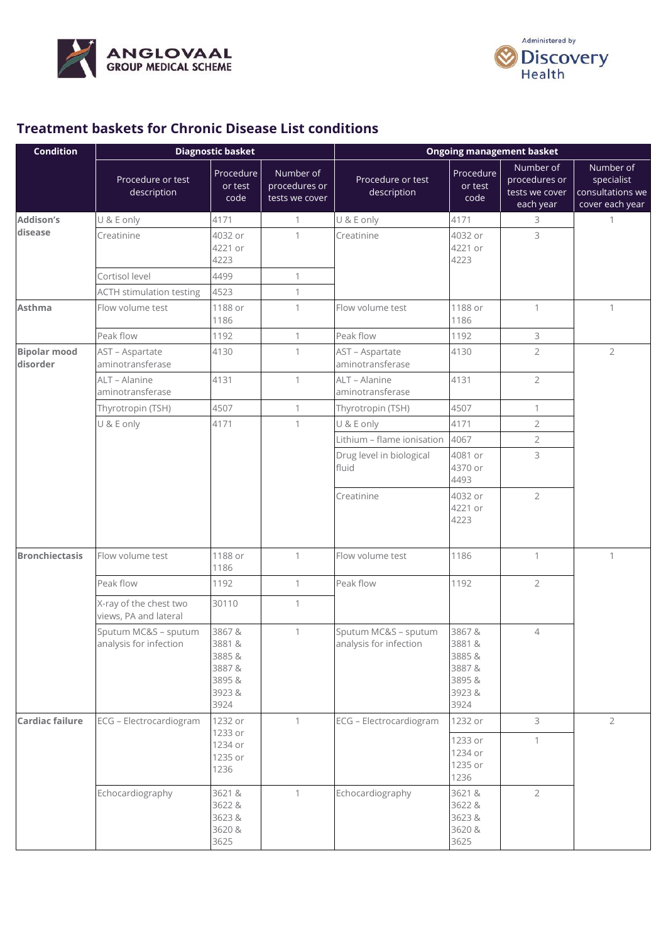



# **Treatment baskets for Chronic Disease List conditions**

| <b>Condition</b>                |                                                 | <b>Diagnostic basket</b>                                   |                                              | <b>Ongoing management basket</b>               |                                                             |                                                           |                                                                |
|---------------------------------|-------------------------------------------------|------------------------------------------------------------|----------------------------------------------|------------------------------------------------|-------------------------------------------------------------|-----------------------------------------------------------|----------------------------------------------------------------|
|                                 | Procedure or test<br>description                | Procedure<br>or test<br>code                               | Number of<br>procedures or<br>tests we cover | Procedure or test<br>description               | Procedure<br>or test<br>code                                | Number of<br>procedures or<br>tests we cover<br>each year | Number of<br>specialist<br>consultations we<br>cover each year |
| <b>Addison's</b>                | U & E only                                      | 4171                                                       | 1                                            | U & E only                                     | 4171                                                        | 3                                                         | $\mathbf{1}$                                                   |
| disease                         | Creatinine                                      | 4032 or<br>4221 or<br>4223                                 | $\mathbf{1}$                                 | Creatinine                                     | 4032 or<br>4221 or<br>4223                                  | 3                                                         |                                                                |
|                                 | Cortisol level                                  | 4499                                                       | $\mathbf{1}$                                 |                                                |                                                             |                                                           |                                                                |
|                                 | <b>ACTH stimulation testing</b>                 | 4523                                                       | 1                                            |                                                |                                                             |                                                           |                                                                |
| <b>Asthma</b>                   | Flow volume test                                | 1188 or<br>1186                                            | 1                                            | Flow volume test                               | 1188 or<br>1186                                             | $\mathbf{1}$                                              | $\mathbf{1}$                                                   |
|                                 | Peak flow                                       | 1192                                                       | $\mathbf{1}$                                 | Peak flow                                      | 1192                                                        | 3                                                         |                                                                |
| <b>Bipolar mood</b><br>disorder | AST - Aspartate<br>aminotransferase             | 4130                                                       | 1                                            | AST - Aspartate<br>aminotransferase            | 4130                                                        | $\overline{2}$                                            | $\overline{2}$                                                 |
|                                 | ALT - Alanine<br>aminotransferase               | 4131                                                       | 1                                            | ALT - Alanine<br>aminotransferase              | 4131                                                        | $\overline{2}$                                            |                                                                |
|                                 | Thyrotropin (TSH)                               | 4507                                                       | 1                                            | Thyrotropin (TSH)                              | 4507                                                        | 1                                                         |                                                                |
|                                 | U & E only                                      | 4171                                                       | $\mathbf{1}$                                 | U & E only                                     | 4171                                                        | $\overline{2}$                                            |                                                                |
|                                 |                                                 |                                                            |                                              | Lithium - flame ionisation                     | 4067                                                        | $\overline{2}$                                            |                                                                |
|                                 |                                                 |                                                            |                                              | Drug level in biological<br>fluid              | 4081 or<br>4370 or<br>4493                                  | 3                                                         |                                                                |
|                                 |                                                 |                                                            |                                              | Creatinine                                     | 4032 or<br>4221 or<br>4223                                  | $\overline{2}$                                            |                                                                |
| <b>Bronchiectasis</b>           | Flow volume test                                | 1188 or<br>1186                                            | 1                                            | Flow volume test                               | 1186                                                        | $\mathbf{1}$                                              | $\mathbf{1}$                                                   |
|                                 | Peak flow                                       | 1192                                                       | 1                                            | Peak flow                                      | 1192                                                        | $\overline{2}$                                            |                                                                |
|                                 | X-ray of the chest two<br>views, PA and lateral | 30110                                                      | 1                                            |                                                |                                                             |                                                           |                                                                |
|                                 | Sputum MC&S - sputum<br>analysis for infection  | 3867&<br>3881&<br>3885&<br>3887&<br>3895&<br>3923&<br>3924 | $\mathbf{1}$                                 | Sputum MC&S - sputum<br>analysis for infection | 3867&<br>3881&<br>3885&<br>3887&<br>3895 &<br>3923&<br>3924 | $\overline{4}$                                            |                                                                |
| <b>Cardiac failure</b>          | ECG - Electrocardiogram                         | 1232 or                                                    | $\mathbf{1}$                                 | ECG - Electrocardiogram                        | 1232 or                                                     | 3                                                         | $\overline{2}$                                                 |
|                                 |                                                 | 1233 or<br>1234 or<br>1235 or<br>1236                      |                                              |                                                | 1233 or<br>1234 or<br>1235 or<br>1236                       | $\mathbf{1}$                                              |                                                                |
|                                 | Echocardiography                                | 3621 &<br>3622 &<br>3623&<br>3620 &<br>3625                | $\mathbf{1}$                                 | Echocardiography                               | 3621 &<br>3622 &<br>3623&<br>3620 &<br>3625                 | $\overline{2}$                                            |                                                                |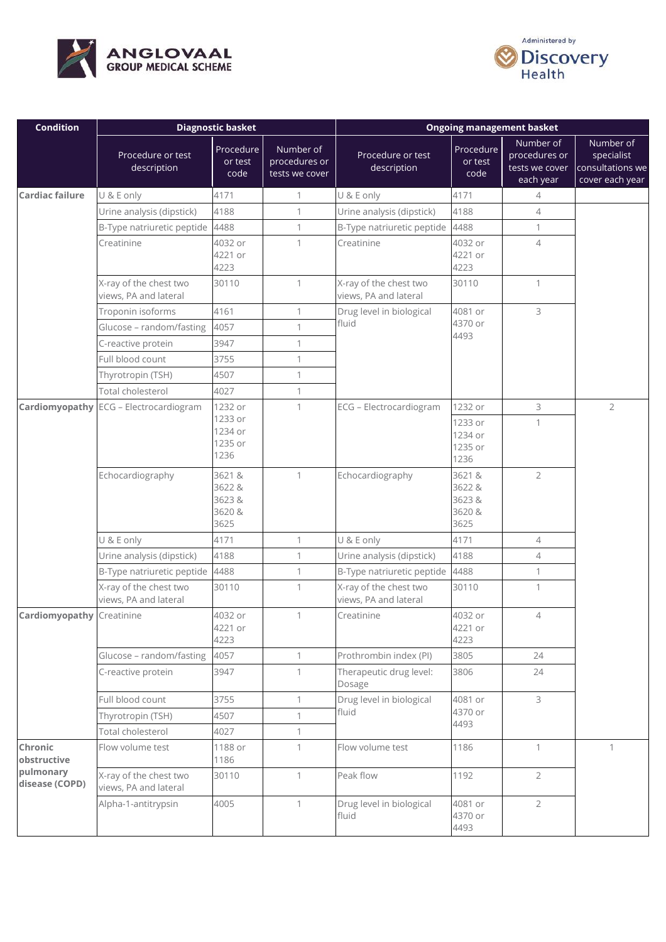



| <b>Condition</b>                 | <b>Diagnostic basket</b>                        |                                              |                                              | <b>Ongoing management basket</b>                |                                            |                                                           |                                                                |
|----------------------------------|-------------------------------------------------|----------------------------------------------|----------------------------------------------|-------------------------------------------------|--------------------------------------------|-----------------------------------------------------------|----------------------------------------------------------------|
|                                  | Procedure or test<br>description                | Procedure<br>or test<br>code                 | Number of<br>procedures or<br>tests we cover | Procedure or test<br>description                | Procedure<br>or test<br>code               | Number of<br>procedures or<br>tests we cover<br>each year | Number of<br>specialist<br>consultations we<br>cover each year |
| Cardiac failure                  | U & E only                                      | 4171                                         | $\mathbf{1}$                                 | U & E only                                      | 4171                                       | 4                                                         |                                                                |
|                                  | Urine analysis (dipstick)                       | 4188                                         | $\mathbf{1}$                                 | Urine analysis (dipstick)                       | 4188                                       | $\overline{4}$                                            |                                                                |
|                                  | B-Type natriuretic peptide                      | 4488                                         | $\mathbf{1}$                                 | B-Type natriuretic peptide                      | 4488                                       | $\mathbf{1}$                                              |                                                                |
|                                  | Creatinine                                      | 4032 or<br>4221 or<br>4223                   | $\mathbf{1}$                                 | Creatinine                                      | 4032 or<br>4221 or<br>4223                 | $\overline{4}$                                            |                                                                |
|                                  | X-ray of the chest two<br>views, PA and lateral | 30110                                        | $\mathbf{1}$                                 | X-ray of the chest two<br>views, PA and lateral | 30110                                      | $\mathbf{1}$                                              |                                                                |
|                                  | Troponin isoforms                               | 4161                                         | 1                                            | Drug level in biological                        | 4081 or                                    | 3                                                         |                                                                |
|                                  | Glucose - random/fasting                        | 4057                                         | $\mathbf{1}$                                 | fluid                                           | 4370 or                                    |                                                           |                                                                |
|                                  | C-reactive protein                              | 3947                                         | 1                                            |                                                 | 4493                                       |                                                           |                                                                |
|                                  | Full blood count                                | 3755                                         | $\mathbf{1}$                                 |                                                 |                                            |                                                           |                                                                |
|                                  | Thyrotropin (TSH)                               | 4507                                         | 1                                            |                                                 |                                            |                                                           |                                                                |
|                                  | Total cholesterol                               | 4027                                         | $\mathbf{1}$                                 |                                                 |                                            |                                                           |                                                                |
| Cardiomyopathy                   | ECG - Electrocardiogram                         | 1232 or                                      | $\mathbf{1}$                                 | ECG - Electrocardiogram                         | 1232 or                                    | 3                                                         | $\overline{2}$                                                 |
|                                  |                                                 | 1233 or<br>1234 or<br>1235 or<br>1236        |                                              |                                                 | 1233 or<br>1234 or<br>1235 or<br>1236      | $\mathbf{1}$                                              |                                                                |
|                                  | Echocardiography                                | 3621 &<br>3622 &<br>3623 &<br>3620 &<br>3625 | $\mathbf{1}$                                 | Echocardiography                                | 3621&<br>3622 &<br>3623&<br>3620 &<br>3625 | $\overline{2}$                                            |                                                                |
|                                  | U & E only                                      | 4171                                         | 1                                            | U & E only                                      | 4171                                       | $\overline{4}$                                            |                                                                |
|                                  | Urine analysis (dipstick)                       | 4188                                         | $\mathbf{1}$                                 | Urine analysis (dipstick)                       | 4188                                       | $\overline{4}$                                            |                                                                |
|                                  | B-Type natriuretic peptide 4488                 |                                              | 1                                            | B-Type natriuretic peptide                      | 4488                                       | $\mathbf{1}$                                              |                                                                |
|                                  | X-ray of the chest two<br>views, PA and lateral | 30110                                        | 1                                            | X-ray of the chest two<br>views, PA and lateral | 30110                                      | $\mathbf{1}$                                              |                                                                |
| <b>Cardiomyopathy Creatinine</b> |                                                 | 4032 or<br>4221 or<br>4223                   | 1                                            | Creatinine                                      | 4032 or<br>4221 or<br>4223                 | $\overline{4}$                                            |                                                                |
|                                  | Glucose - random/fasting                        | 4057                                         | $\mathbf{1}$                                 | Prothrombin index (PI)                          | 3805                                       | 24                                                        |                                                                |
|                                  | C-reactive protein                              | 3947                                         | $\mathbf{1}$                                 | Therapeutic drug level:<br>Dosage               | 3806                                       | 24                                                        |                                                                |
|                                  | Full blood count                                | 3755                                         | $\mathbf{1}$                                 | Drug level in biological                        | 4081 or                                    | 3                                                         |                                                                |
|                                  | Thyrotropin (TSH)                               | 4507                                         | 1                                            | fluid                                           | 4370 or                                    |                                                           |                                                                |
|                                  | Total cholesterol                               | 4027                                         | $\mathbf{1}$                                 |                                                 | 4493                                       |                                                           |                                                                |
| Chronic<br>obstructive           | Flow volume test                                | 1188 or<br>1186                              | $\mathbf{1}$                                 | Flow volume test                                | 1186                                       | $\mathbf{1}$                                              | $\mathbf{1}$                                                   |
| pulmonary<br>disease (COPD)      | X-ray of the chest two<br>views, PA and lateral | 30110                                        | $\mathbf{1}$                                 | Peak flow                                       | 1192                                       | $\overline{2}$                                            |                                                                |
|                                  | Alpha-1-antitrypsin                             | 4005                                         | $\mathbf{1}$                                 | Drug level in biological<br>fluid               | 4081 or<br>4370 or<br>4493                 | $\overline{2}$                                            |                                                                |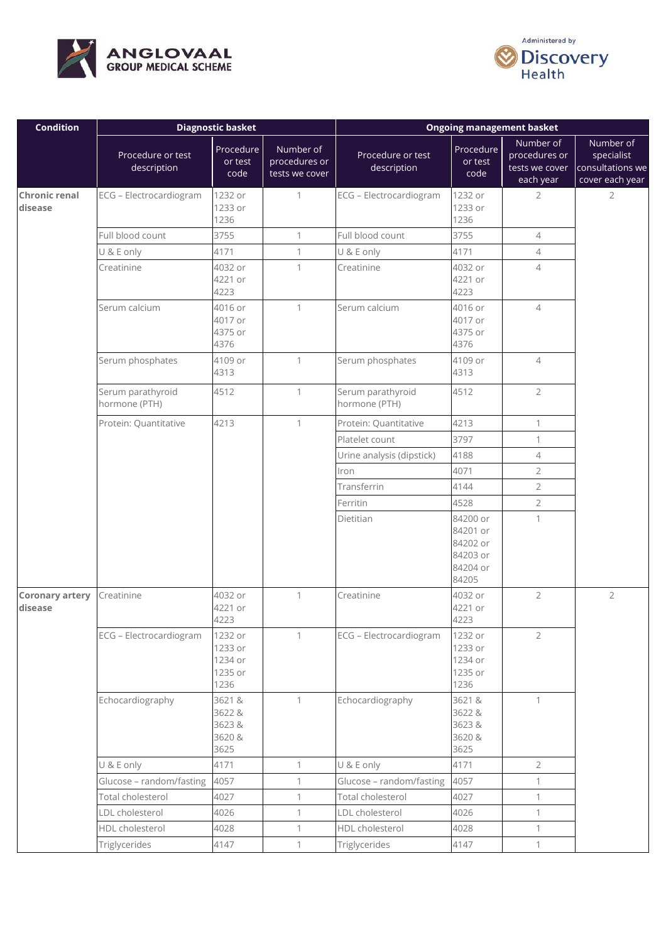



| <b>Condition</b>                  | <b>Diagnostic basket</b>           |                                                  |                                              | <b>Ongoing management basket</b>   |                                                                   |                                                           |                                                                |
|-----------------------------------|------------------------------------|--------------------------------------------------|----------------------------------------------|------------------------------------|-------------------------------------------------------------------|-----------------------------------------------------------|----------------------------------------------------------------|
|                                   | Procedure or test<br>description   | Procedure<br>or test<br>code                     | Number of<br>procedures or<br>tests we cover | Procedure or test<br>description   | Procedure<br>or test<br>code                                      | Number of<br>procedures or<br>tests we cover<br>each year | Number of<br>specialist<br>consultations we<br>cover each year |
| <b>Chronic renal</b><br>disease   | ECG - Electrocardiogram            | 1232 or<br>1233 or<br>1236                       | $\mathbf{1}$                                 | ECG - Electrocardiogram            | 1232 or<br>1233 or<br>1236                                        | 2                                                         | $\overline{2}$                                                 |
|                                   | Full blood count                   | 3755                                             | $\mathbf{1}$                                 | Full blood count                   | 3755                                                              | $\overline{4}$                                            |                                                                |
|                                   | U & E only                         | 4171                                             | $\mathbf{1}$                                 | U & E only                         | 4171                                                              | $\overline{4}$                                            |                                                                |
|                                   | Creatinine                         | 4032 or<br>4221 or<br>4223                       | 1                                            | Creatinine                         | 4032 or<br>4221 or<br>4223                                        | $\overline{4}$                                            |                                                                |
|                                   | Serum calcium                      | 4016 or<br>4017 or<br>4375 or<br>4376            | $\mathbf{1}$                                 | Serum calcium                      | 4016 or<br>4017 or<br>4375 or<br>4376                             | $\overline{4}$                                            |                                                                |
|                                   | Serum phosphates                   | 4109 or<br>4313                                  | 1                                            | Serum phosphates                   | 4109 or<br>4313                                                   | $\overline{4}$                                            |                                                                |
|                                   | Serum parathyroid<br>hormone (PTH) | 4512                                             | $\mathbf{1}$                                 | Serum parathyroid<br>hormone (PTH) | 4512                                                              | $\overline{2}$                                            |                                                                |
|                                   | Protein: Quantitative              | 4213                                             | $\mathbf{1}$                                 | Protein: Quantitative              | 4213                                                              | $\mathbf{1}$                                              |                                                                |
|                                   |                                    |                                                  |                                              | Platelet count                     | 3797                                                              | $\mathbf{1}$                                              |                                                                |
|                                   |                                    |                                                  |                                              | Urine analysis (dipstick)          | 4188                                                              | $\overline{4}$                                            |                                                                |
|                                   |                                    |                                                  |                                              | Iron                               | 4071                                                              | $\overline{2}$                                            |                                                                |
|                                   |                                    |                                                  |                                              | Transferrin                        | 4144                                                              | $\overline{2}$                                            |                                                                |
|                                   |                                    |                                                  |                                              | Ferritin                           | 4528                                                              | $\overline{2}$                                            |                                                                |
|                                   |                                    |                                                  |                                              | Dietitian                          | 84200 or<br>84201 or<br>84202 or<br>84203 or<br>84204 or<br>84205 | $\mathbf{1}$                                              |                                                                |
| <b>Coronary artery</b><br>disease | Creatinine                         | 4032 or<br>4221 or<br>4223                       | $\mathbf{1}$                                 | Creatinine                         | 4032 or<br>4221 or<br>4223                                        | $\overline{2}$                                            | $\overline{2}$                                                 |
|                                   | ECG - Electrocardiogram            | 1232 or<br>1233 or<br>1234 or<br>1235 or<br>1236 | $\mathbf{1}$                                 | ECG - Electrocardiogram            | 1232 or<br>1233 or<br>1234 or<br>1235 or<br>1236                  | $\overline{2}$                                            |                                                                |
|                                   | Echocardiography                   | 3621 &<br>3622 &<br>3623&<br>3620 &<br>3625      | $\mathbf{1}$                                 | Echocardiography                   | 3621&<br>3622 &<br>3623&<br>3620 &<br>3625                        | $\mathbf{1}$                                              |                                                                |
|                                   | U & E only                         | 4171                                             | $\mathbf{1}$                                 | U & E only                         | 4171                                                              | $\overline{2}$                                            |                                                                |
|                                   | Glucose - random/fasting           | 4057                                             | $\mathbf{1}$                                 | Glucose - random/fasting           | 4057                                                              | $\mathbf{1}$                                              |                                                                |
|                                   | Total cholesterol                  | 4027                                             | $\mathbf{1}$                                 | Total cholesterol                  | 4027                                                              | $\mathbf{1}$                                              |                                                                |
|                                   | LDL cholesterol                    | 4026                                             | $\mathbf{1}$                                 | LDL cholesterol                    | 4026                                                              | $\mathbf{1}$                                              |                                                                |
|                                   | HDL cholesterol                    | 4028                                             | $\mathbf{1}$                                 | HDL cholesterol                    | 4028                                                              | $\mathbf{1}$                                              |                                                                |
|                                   | Triglycerides                      | 4147                                             | $\mathbf{1}$                                 | Triglycerides                      | 4147                                                              | $\mathbf{1}$                                              |                                                                |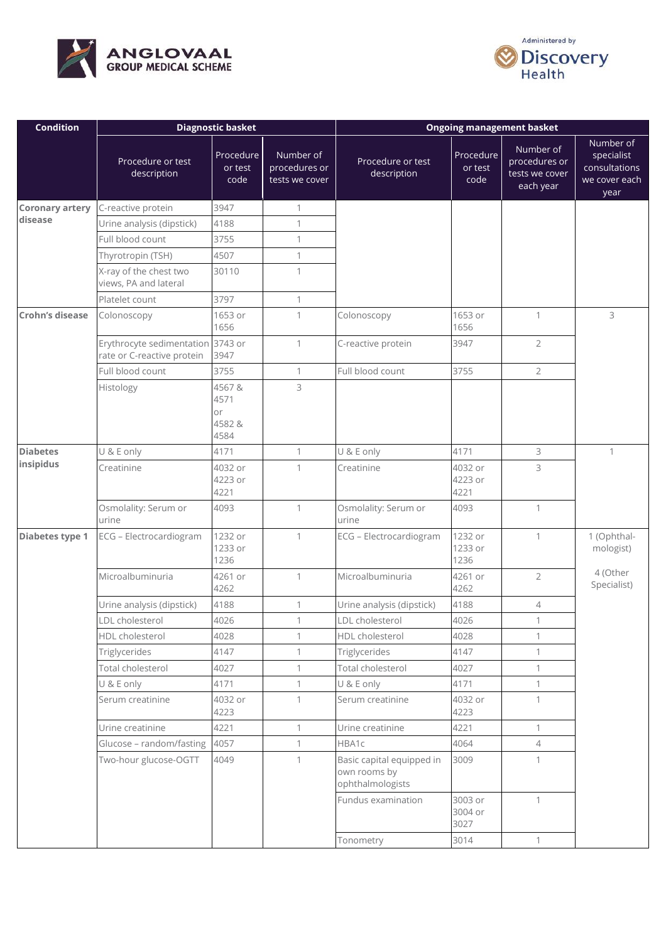



| <b>Condition</b>       | <b>Diagnostic basket</b>                                        |                                       |                                              | <b>Ongoing management basket</b>                              |                              |                                                           |                                                                   |
|------------------------|-----------------------------------------------------------------|---------------------------------------|----------------------------------------------|---------------------------------------------------------------|------------------------------|-----------------------------------------------------------|-------------------------------------------------------------------|
|                        | Procedure or test<br>description                                | Procedure<br>or test<br>code          | Number of<br>procedures or<br>tests we cover | Procedure or test<br>description                              | Procedure<br>or test<br>code | Number of<br>procedures or<br>tests we cover<br>each year | Number of<br>specialist<br>consultations<br>we cover each<br>year |
| <b>Coronary artery</b> | C-reactive protein                                              | 3947                                  | $\mathbf{1}$                                 |                                                               |                              |                                                           |                                                                   |
| disease                | Urine analysis (dipstick)                                       | 4188                                  | $\mathbf{1}$                                 |                                                               |                              |                                                           |                                                                   |
|                        | Full blood count                                                | 3755                                  | $\mathbf{1}$                                 |                                                               |                              |                                                           |                                                                   |
|                        | Thyrotropin (TSH)                                               | 4507                                  | $\mathbf{1}$                                 |                                                               |                              |                                                           |                                                                   |
|                        | X-ray of the chest two<br>views, PA and lateral                 | 30110                                 | 1                                            |                                                               |                              |                                                           |                                                                   |
|                        | Platelet count                                                  | 3797                                  | $\mathbf{1}$                                 |                                                               |                              |                                                           |                                                                   |
| Crohn's disease        | Colonoscopy                                                     | 1653 or<br>1656                       | $\mathbf{1}$                                 | Colonoscopy                                                   | 1653 or<br>1656              | $\mathbf{1}$                                              | 3                                                                 |
|                        | Erythrocyte sedimentation 3743 or<br>rate or C-reactive protein | 3947                                  | $\mathbf{1}$                                 | C-reactive protein                                            | 3947                         | $\overline{2}$                                            |                                                                   |
|                        | Full blood count                                                | 3755                                  | $\mathbf{1}$                                 | Full blood count                                              | 3755                         | $\overline{2}$                                            |                                                                   |
|                        | Histology                                                       | 4567&<br>4571<br>or<br>4582 &<br>4584 | 3                                            |                                                               |                              |                                                           |                                                                   |
| <b>Diabetes</b>        | U & E only                                                      | 4171                                  | $\mathbf{1}$                                 | U & E only                                                    | 4171                         | 3                                                         | $\mathbf{1}$                                                      |
| insipidus              | Creatinine                                                      | 4032 or<br>4223 or<br>4221            | 1                                            | Creatinine                                                    | 4032 or<br>4223 or<br>4221   | 3                                                         |                                                                   |
|                        | Osmolality: Serum or<br>urine                                   | 4093                                  | $\mathbf{1}$                                 | Osmolality: Serum or<br>urine                                 | 4093                         | $\mathbf{1}$                                              |                                                                   |
| Diabetes type 1        | ECG - Electrocardiogram                                         | 1232 or<br>1233 or<br>1236            | $\mathbf{1}$                                 | ECG - Electrocardiogram                                       | 1232 or<br>1233 or<br>1236   | $\mathbf{1}$                                              | 1 (Ophthal-<br>mologist)                                          |
|                        | Microalbuminuria                                                | 4261 or<br>4262                       | $\mathbf{1}$                                 | Microalbuminuria                                              | 4261 or<br>4262              | $\overline{2}$                                            | 4 (Other<br>Specialist)                                           |
|                        | Urine analysis (dipstick)                                       | 4188                                  | 1                                            | Urine analysis (dipstick)                                     | 4188                         | $\overline{4}$                                            |                                                                   |
|                        | LDL cholesterol                                                 | 4026                                  | 1                                            | LDL cholesterol                                               | 4026                         |                                                           |                                                                   |
|                        | HDL cholesterol                                                 | 4028                                  | $\mathbf{1}$                                 | HDL cholesterol                                               | 4028                         | 1                                                         |                                                                   |
|                        | Triglycerides                                                   | 4147                                  | 1                                            | Triglycerides                                                 | 4147                         | $\mathbf{1}$                                              |                                                                   |
|                        | Total cholesterol                                               | 4027                                  | $\mathbf{1}$                                 | Total cholesterol                                             | 4027                         | 1                                                         |                                                                   |
|                        | U & E only                                                      | 4171                                  | $\mathbf{1}$                                 | U & E only                                                    | 4171                         | $\mathbf{1}$                                              |                                                                   |
|                        | Serum creatinine                                                | 4032 or<br>4223                       | $\mathbf{1}$                                 | Serum creatinine                                              | 4032 or<br>4223              | $\mathbf{1}$                                              |                                                                   |
|                        | Urine creatinine                                                | 4221                                  | $\mathbf{1}$                                 | Urine creatinine                                              | 4221                         | $\mathbf{1}$                                              |                                                                   |
|                        | Glucose - random/fasting                                        | 4057                                  | $\mathbf{1}$                                 | HBA1c                                                         | 4064                         | $\overline{4}$                                            |                                                                   |
|                        | Two-hour glucose-OGTT                                           | 4049                                  | 1                                            | Basic capital equipped in<br>own rooms by<br>ophthalmologists | 3009                         | 1                                                         |                                                                   |
|                        |                                                                 |                                       |                                              | Fundus examination                                            | 3003 or<br>3004 or<br>3027   | $\mathbf{1}$                                              |                                                                   |
|                        |                                                                 |                                       |                                              | Tonometry                                                     | 3014                         | $\mathbf{1}$                                              |                                                                   |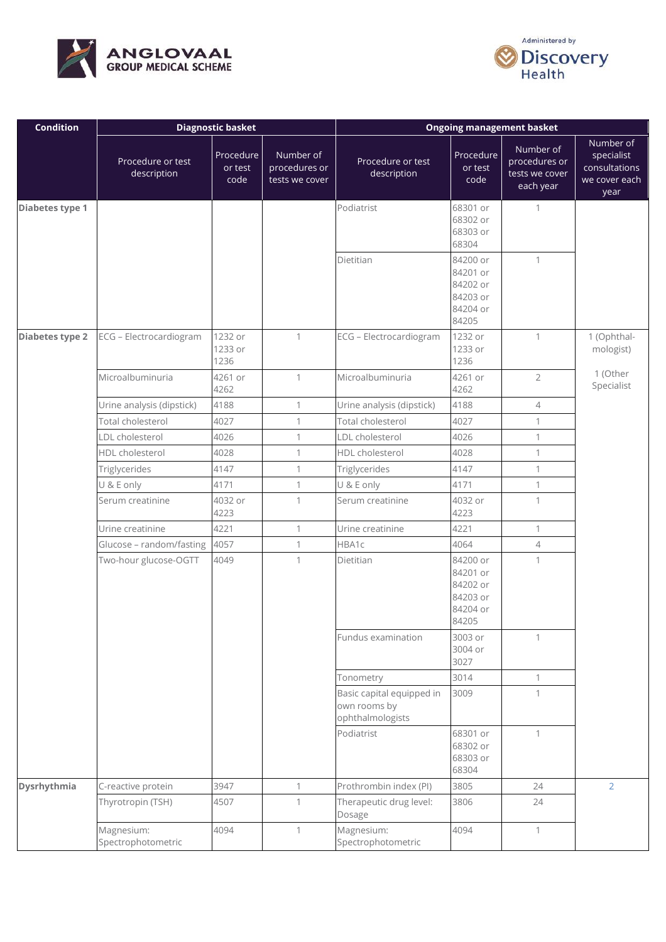



| <b>Condition</b> |                                  | <b>Diagnostic basket</b>     |                                              | <b>Ongoing management basket</b>                              |                                                                   |                                                           |                                                                   |
|------------------|----------------------------------|------------------------------|----------------------------------------------|---------------------------------------------------------------|-------------------------------------------------------------------|-----------------------------------------------------------|-------------------------------------------------------------------|
|                  | Procedure or test<br>description | Procedure<br>or test<br>code | Number of<br>procedures or<br>tests we cover | Procedure or test<br>description                              | Procedure<br>or test<br>code                                      | Number of<br>procedures or<br>tests we cover<br>each year | Number of<br>specialist<br>consultations<br>we cover each<br>year |
| Diabetes type 1  |                                  |                              |                                              | Podiatrist                                                    | 68301 or<br>68302 or<br>68303 or<br>68304                         | 1                                                         |                                                                   |
|                  |                                  |                              |                                              | Dietitian                                                     | 84200 or<br>84201 or<br>84202 or<br>84203 or<br>84204 or<br>84205 | $\mathbf{1}$                                              |                                                                   |
| Diabetes type 2  | ECG - Electrocardiogram          | 1232 or<br>1233 or<br>1236   | $\mathbf{1}$                                 | ECG - Electrocardiogram                                       | 1232 or<br>1233 or<br>1236                                        | $\mathbf{1}$                                              | 1 (Ophthal-<br>mologist)                                          |
|                  | Microalbuminuria                 | 4261 or<br>4262              | $\mathbf{1}$                                 | Microalbuminuria                                              | 4261 or<br>4262                                                   | $\overline{2}$                                            | 1 (Other<br>Specialist                                            |
|                  | Urine analysis (dipstick)        | 4188                         | $\mathbf{1}$                                 | Urine analysis (dipstick)                                     | 4188                                                              | $\overline{4}$                                            |                                                                   |
|                  | Total cholesterol                | 4027                         | $\mathbf{1}$                                 | Total cholesterol                                             | 4027                                                              | $\mathbf{1}$                                              |                                                                   |
|                  | LDL cholesterol                  | 4026                         | $\mathbf{1}$                                 | LDL cholesterol                                               | 4026                                                              | $\mathbf{1}$                                              |                                                                   |
|                  | HDL cholesterol                  | 4028                         | $\mathbf{1}$                                 | HDL cholesterol                                               | 4028                                                              | $\mathbf{1}$                                              |                                                                   |
|                  | Triglycerides                    | 4147                         | $\mathbf{1}$                                 | Triglycerides                                                 | 4147                                                              | $\mathbf{1}$                                              |                                                                   |
|                  | U & E only                       | 4171                         | $\mathbf{1}$                                 | U & E only                                                    | 4171                                                              | $\mathbf{1}$                                              |                                                                   |
|                  | Serum creatinine                 | 4032 or<br>4223              | $\mathbf{1}$                                 | Serum creatinine                                              | 4032 or<br>4223                                                   | $\mathbf{1}$                                              |                                                                   |
|                  | Urine creatinine                 | 4221                         | $\mathbf{1}$                                 | Urine creatinine                                              | 4221                                                              | $\mathbf{1}$                                              |                                                                   |
|                  | Glucose - random/fasting         | 4057                         | $\mathbf{1}$                                 | HBA1c                                                         | 4064                                                              | 4                                                         |                                                                   |
|                  | Two-hour glucose-OGTT            | 4049                         | $\mathbf{1}$                                 | Dietitian                                                     | 84200 or<br>84201 or<br>84202 or<br>84203 or<br>84204 or<br>84205 | $\mathbf{1}$                                              |                                                                   |
|                  |                                  |                              |                                              | Fundus examination                                            | 3003 or<br>3004 or<br>3027                                        | 1                                                         |                                                                   |
|                  |                                  |                              |                                              | Tonometry                                                     | 3014                                                              | $\mathbf{1}$                                              |                                                                   |
|                  |                                  |                              |                                              | Basic capital equipped in<br>own rooms by<br>ophthalmologists | 3009                                                              | 1                                                         |                                                                   |
|                  |                                  |                              |                                              | Podiatrist                                                    | 68301 or<br>68302 or<br>68303 or<br>68304                         | $\mathbf{1}$                                              |                                                                   |
| Dysrhythmia      | C-reactive protein               | 3947                         | $\mathbf{1}$                                 | Prothrombin index (PI)                                        | 3805                                                              | 24                                                        | $\overline{2}$                                                    |
|                  | Thyrotropin (TSH)                | 4507                         | $\mathbf{1}$                                 | Therapeutic drug level:<br>Dosage                             | 3806                                                              | 24                                                        |                                                                   |
|                  | Magnesium:<br>Spectrophotometric | 4094                         | $\mathbf{1}$                                 | Magnesium:<br>Spectrophotometric                              | 4094                                                              | $\mathbf{1}$                                              |                                                                   |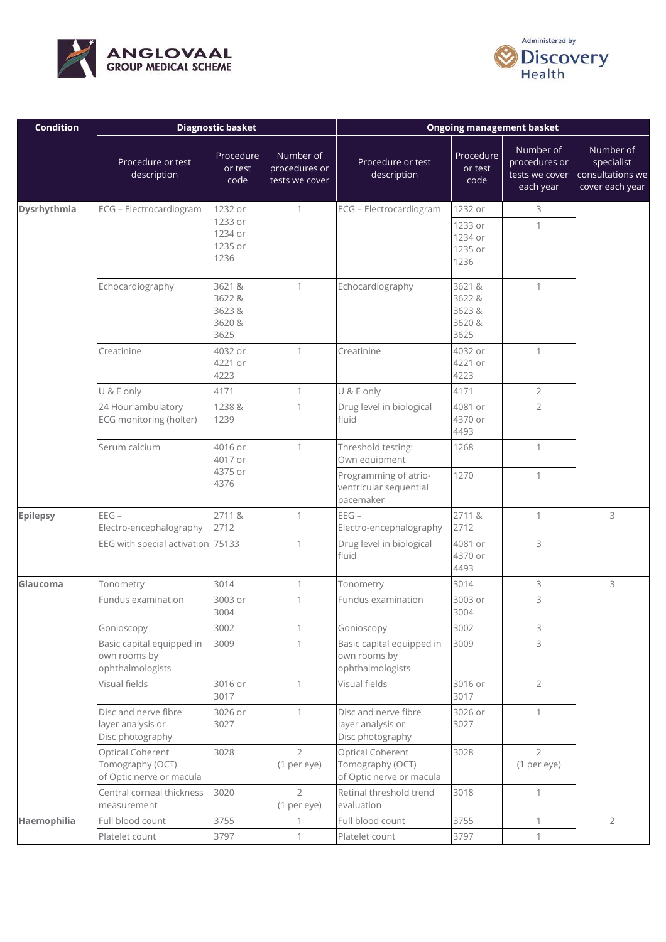



| <b>Condition</b> |                                                                  | <b>Diagnostic basket</b>                    |                                              | <b>Ongoing management basket</b>                                 |                                             |                                                           |                                                                |
|------------------|------------------------------------------------------------------|---------------------------------------------|----------------------------------------------|------------------------------------------------------------------|---------------------------------------------|-----------------------------------------------------------|----------------------------------------------------------------|
|                  | Procedure or test<br>description                                 | Procedure<br>or test<br>code                | Number of<br>procedures or<br>tests we cover | Procedure or test<br>description                                 | Procedure<br>or test<br>code                | Number of<br>procedures or<br>tests we cover<br>each year | Number of<br>specialist<br>consultations we<br>cover each year |
| Dysrhythmia      | ECG - Electrocardiogram                                          | 1232 or                                     | $\mathbf{1}$                                 | ECG - Electrocardiogram                                          | 1232 or                                     | 3                                                         |                                                                |
|                  |                                                                  | 1233 or<br>1234 or<br>1235 or<br>1236       |                                              |                                                                  | 1233 or<br>1234 or<br>1235 or<br>1236       | 1                                                         |                                                                |
|                  | Echocardiography                                                 | 3621 &<br>3622 &<br>3623&<br>3620 &<br>3625 | $\mathbf{1}$                                 | Echocardiography                                                 | 3621 &<br>3622 &<br>3623&<br>3620 &<br>3625 | $\mathbf{1}$                                              |                                                                |
|                  | Creatinine                                                       | 4032 or<br>4221 or<br>4223                  | 1                                            | Creatinine                                                       | 4032 or<br>4221 or<br>4223                  | $\mathbf{1}$                                              |                                                                |
|                  | U & E only                                                       | 4171                                        | $\mathbf{1}$                                 | U & E only                                                       | 4171                                        | $\overline{2}$                                            |                                                                |
|                  | 24 Hour ambulatory<br>ECG monitoring (holter)                    | 1238 &<br>1239                              | 1                                            | Drug level in biological<br>fluid                                | 4081 or<br>4370 or<br>4493                  | $\overline{2}$                                            |                                                                |
|                  | Serum calcium                                                    | 4016 or<br>4017 or                          | 1                                            | Threshold testing:<br>Own equipment                              | 1268                                        | $\mathbf{1}$                                              |                                                                |
|                  |                                                                  | 4375 or<br>4376                             |                                              | Programming of atrio-<br>ventricular sequential<br>pacemaker     | 1270                                        | $\mathbf{1}$                                              |                                                                |
| <b>Epilepsy</b>  | $EEG -$<br>Electro-encephalography                               | 2711&<br>2712                               | 1                                            | $EEG -$<br>Electro-encephalography                               | 2711&<br>2712                               | $\mathbf{1}$                                              | 3                                                              |
|                  | EEG with special activation 75133                                |                                             | 1                                            | Drug level in biological<br>fluid                                | 4081 or<br>4370 or<br>4493                  | 3                                                         |                                                                |
| Glaucoma         | Tonometry                                                        | 3014                                        | 1                                            | Tonometry                                                        | 3014                                        | 3                                                         | 3                                                              |
|                  | Fundus examination                                               | 3003 or<br>3004                             | 1                                            | Fundus examination                                               | 3003 or<br>3004                             | 3                                                         |                                                                |
|                  | Gonioscopy                                                       | 3002                                        | $\mathbf{1}$                                 | Gonioscopy                                                       | 3002                                        | 3                                                         |                                                                |
|                  | Basic capital equipped in<br>own rooms by<br>ophthalmologists    | 3009                                        | $\mathbf{1}$                                 | Basic capital equipped in<br>own rooms by<br>ophthalmologists    | 3009                                        | 3                                                         |                                                                |
|                  | Visual fields                                                    | 3016 or<br>3017                             | $\mathbf{1}$                                 | Visual fields                                                    | 3016 or<br>3017                             | $\overline{2}$                                            |                                                                |
|                  | Disc and nerve fibre<br>layer analysis or<br>Disc photography    | 3026 or<br>3027                             | $\mathbf{1}$                                 | Disc and nerve fibre<br>layer analysis or<br>Disc photography    | 3026 or<br>3027                             | $\mathbf{1}$                                              |                                                                |
|                  | Optical Coherent<br>Tomography (OCT)<br>of Optic nerve or macula | 3028                                        | $\overline{2}$<br>(1 per eye)                | Optical Coherent<br>Tomography (OCT)<br>of Optic nerve or macula | 3028                                        | $\overline{2}$<br>(1 per eye)                             |                                                                |
|                  | Central corneal thickness<br>measurement                         | 3020                                        | $\overline{2}$<br>(1 per eye)                | Retinal threshold trend<br>evaluation                            | 3018                                        | $\mathbf{1}$                                              |                                                                |
| Haemophilia      | Full blood count                                                 | 3755                                        | $\mathbf{1}$                                 | Full blood count                                                 | 3755                                        | $\mathbf{1}$                                              | $\overline{2}$                                                 |
|                  | Platelet count                                                   | 3797                                        | $\mathbf{1}$                                 | Platelet count                                                   | 3797                                        | $\mathbf{1}$                                              |                                                                |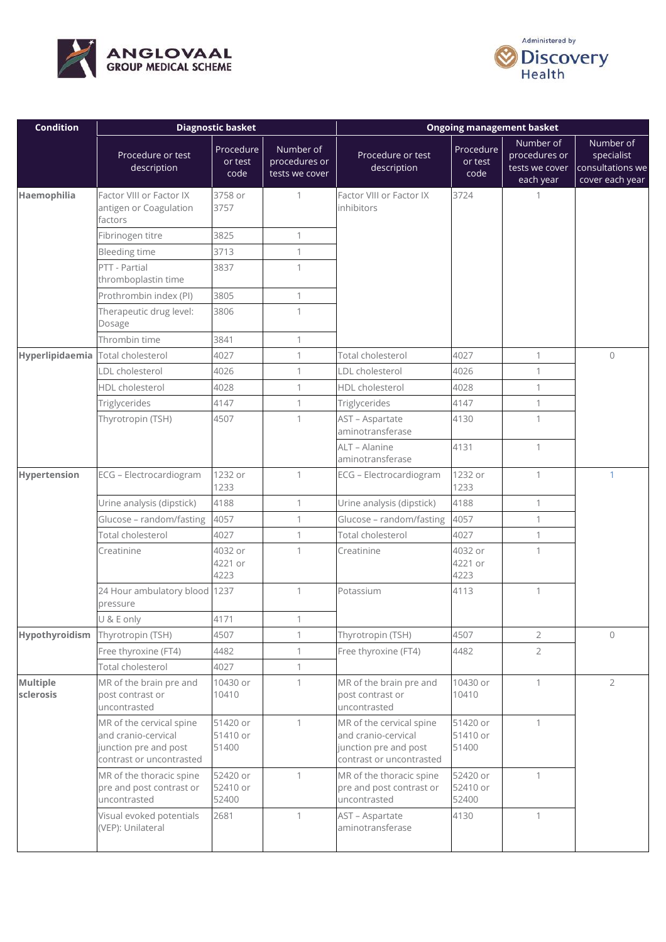



| <b>Condition</b>      |                                                                                                      | <b>Diagnostic basket</b>      |                                              | <b>Ongoing management basket</b>                                                                     |                               |                                                           |                                                                |
|-----------------------|------------------------------------------------------------------------------------------------------|-------------------------------|----------------------------------------------|------------------------------------------------------------------------------------------------------|-------------------------------|-----------------------------------------------------------|----------------------------------------------------------------|
|                       | Procedure or test<br>description                                                                     | Procedure<br>or test<br>code  | Number of<br>procedures or<br>tests we cover | Procedure or test<br>description                                                                     | Procedure<br>or test<br>code  | Number of<br>procedures or<br>tests we cover<br>each year | Number of<br>specialist<br>consultations we<br>cover each year |
| Haemophilia           | Factor VIII or Factor IX<br>antigen or Coagulation<br>factors                                        | 3758 or<br>3757               | 1                                            | Factor VIII or Factor IX<br>inhibitors                                                               | 3724                          | 1                                                         |                                                                |
|                       | Fibrinogen titre                                                                                     | 3825                          | 1                                            |                                                                                                      |                               |                                                           |                                                                |
|                       | <b>Bleeding time</b>                                                                                 | 3713                          | $\mathbf{1}$                                 |                                                                                                      |                               |                                                           |                                                                |
|                       | PTT - Partial<br>thromboplastin time                                                                 | 3837                          | $\mathbf{1}$                                 |                                                                                                      |                               |                                                           |                                                                |
|                       | Prothrombin index (PI)                                                                               | 3805                          | 1                                            |                                                                                                      |                               |                                                           |                                                                |
|                       | Therapeutic drug level:<br>Dosage                                                                    | 3806                          | 1                                            |                                                                                                      |                               |                                                           |                                                                |
|                       | Thrombin time                                                                                        | 3841                          | $\mathbf{1}$                                 |                                                                                                      |                               |                                                           |                                                                |
| Hyperlipidaemia       | Total cholesterol                                                                                    | 4027                          | $\mathbf{1}$                                 | Total cholesterol                                                                                    | 4027                          | $\mathbf{1}$                                              | $\circ$                                                        |
|                       | LDL cholesterol                                                                                      | 4026                          | $\mathbf{1}$                                 | LDL cholesterol                                                                                      | 4026                          | $\mathbf{1}$                                              |                                                                |
|                       | HDL cholesterol                                                                                      | 4028                          | 1                                            | HDL cholesterol                                                                                      | 4028                          | 1                                                         |                                                                |
|                       | Triglycerides                                                                                        | 4147                          | $\mathbf{1}$                                 | Triglycerides                                                                                        | 4147                          | $\mathbf 1$                                               |                                                                |
|                       | Thyrotropin (TSH)                                                                                    | 4507                          | 1                                            | AST - Aspartate<br>aminotransferase                                                                  | 4130                          | 1                                                         |                                                                |
|                       |                                                                                                      |                               |                                              | ALT - Alanine<br>aminotransferase                                                                    | 4131                          | $\mathbf{1}$                                              |                                                                |
| Hypertension          | ECG - Electrocardiogram                                                                              | 1232 or<br>1233               | $\mathbf{1}$                                 | ECG - Electrocardiogram                                                                              | 1232 or<br>1233               | $\mathbf{1}$                                              | $\mathbf{1}$                                                   |
|                       | Urine analysis (dipstick)                                                                            | 4188                          | $\mathbf{1}$                                 | Urine analysis (dipstick)                                                                            | 4188                          | $\mathbf{1}$                                              |                                                                |
|                       | Glucose - random/fasting                                                                             | 4057                          | $\mathbf{1}$                                 | Glucose - random/fasting                                                                             | 4057                          | $\mathbf{1}$                                              |                                                                |
|                       | Total cholesterol                                                                                    | 4027                          | $\mathbf{1}$                                 | Total cholesterol                                                                                    | 4027                          | $\mathbf{1}$                                              |                                                                |
|                       | Creatinine                                                                                           | 4032 or<br>4221 or<br>4223    | $\mathbf{1}$                                 | Creatinine                                                                                           | 4032 or<br>4221 or<br>4223    | $\mathbf{1}$                                              |                                                                |
|                       | 24 Hour ambulatory blood 1237<br>pressure                                                            |                               | $\mathbf{1}$                                 | Potassium                                                                                            | 4113                          | $\mathbf{1}$                                              |                                                                |
|                       | U & E only                                                                                           | 4171                          | $\mathbf{1}$                                 |                                                                                                      |                               |                                                           |                                                                |
| Hypothyroidism        | Thyrotropin (TSH)                                                                                    | 4507                          | $\mathbf{1}$                                 | Thyrotropin (TSH)                                                                                    | 4507                          | $\overline{2}$                                            | $\circ$                                                        |
|                       | Free thyroxine (FT4)                                                                                 | 4482                          | $\mathbf{1}$                                 | Free thyroxine (FT4)                                                                                 | 4482                          | $\overline{2}$                                            |                                                                |
|                       | Total cholesterol                                                                                    | 4027                          | $\mathbf{1}$                                 |                                                                                                      |                               |                                                           |                                                                |
| Multiple<br>sclerosis | MR of the brain pre and<br>post contrast or<br>uncontrasted                                          | 10430 or<br>10410             | $\mathbf{1}$                                 | MR of the brain pre and<br>post contrast or<br>uncontrasted                                          | 10430 or<br>10410             | $\mathbf{1}$                                              | $\overline{2}$                                                 |
|                       | MR of the cervical spine<br>and cranio-cervical<br>junction pre and post<br>contrast or uncontrasted | 51420 or<br>51410 or<br>51400 | $\mathbf{1}$                                 | MR of the cervical spine<br>and cranio-cervical<br>junction pre and post<br>contrast or uncontrasted | 51420 or<br>51410 or<br>51400 | $\mathbf{1}$                                              |                                                                |
|                       | MR of the thoracic spine<br>pre and post contrast or<br>uncontrasted                                 | 52420 or<br>52410 or<br>52400 | 1                                            | MR of the thoracic spine<br>pre and post contrast or<br>uncontrasted                                 | 52420 or<br>52410 or<br>52400 | 1                                                         |                                                                |
|                       | Visual evoked potentials<br>(VEP): Unilateral                                                        | 2681                          | 1                                            | AST - Aspartate<br>aminotransferase                                                                  | 4130                          | $\mathbf{1}$                                              |                                                                |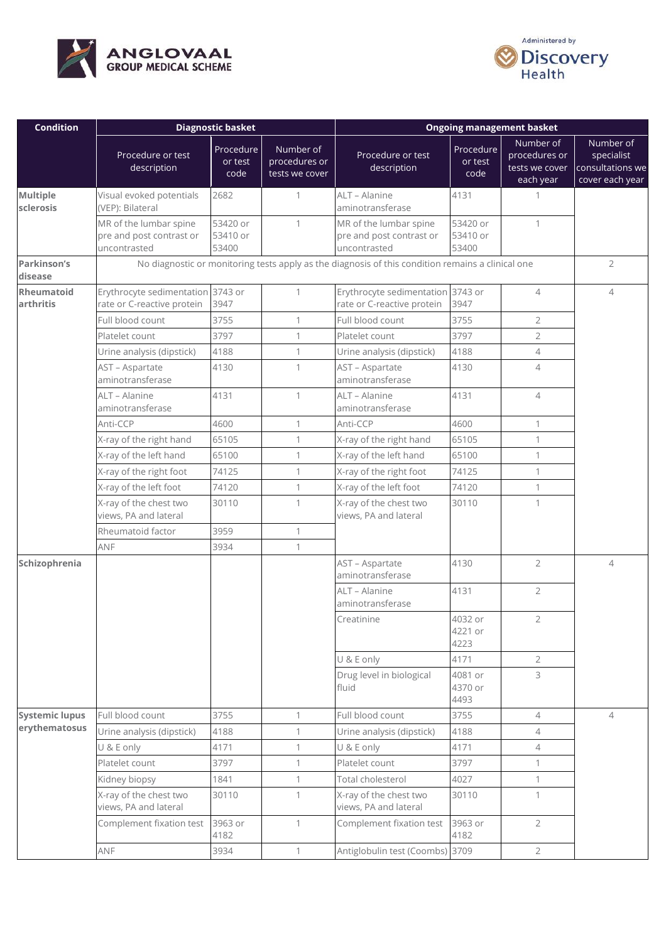



| <b>Condition</b>               |                                                                    | <b>Diagnostic basket</b>      |                                              | <b>Ongoing management basket</b>                                                                  |                               |                                                           |                                                                |
|--------------------------------|--------------------------------------------------------------------|-------------------------------|----------------------------------------------|---------------------------------------------------------------------------------------------------|-------------------------------|-----------------------------------------------------------|----------------------------------------------------------------|
|                                | Procedure or test<br>description                                   | Procedure<br>or test<br>code  | Number of<br>procedures or<br>tests we cover | Procedure or test<br>description                                                                  | Procedure<br>or test<br>code  | Number of<br>procedures or<br>tests we cover<br>each year | Number of<br>specialist<br>consultations we<br>cover each year |
| Multiple<br><b>sclerosis</b>   | Visual evoked potentials<br>(VEP): Bilateral                       | 2682                          | $\mathbf{1}$                                 | ALT - Alanine<br>aminotransferase                                                                 | 4131                          | 1                                                         |                                                                |
|                                | MR of the lumbar spine<br>pre and post contrast or<br>uncontrasted | 53420 or<br>53410 or<br>53400 | $\mathbf{1}$                                 | MR of the lumbar spine<br>pre and post contrast or<br>uncontrasted                                | 53420 or<br>53410 or<br>53400 | $\mathbf{1}$                                              |                                                                |
| Parkinson's<br>disease         |                                                                    |                               |                                              | No diagnostic or monitoring tests apply as the diagnosis of this condition remains a clinical one |                               |                                                           | $\overline{2}$                                                 |
| <b>Rheumatoid</b><br>arthritis | Erythrocyte sedimentation<br>rate or C-reactive protein            | 3743 or<br>3947               | $\mathbf{1}$                                 | Erythrocyte sedimentation 3743 or<br>rate or C-reactive protein                                   | 3947                          | $\overline{4}$                                            | $\overline{4}$                                                 |
|                                | Full blood count                                                   | 3755                          | $\mathbf{1}$                                 | Full blood count                                                                                  | 3755                          | $\overline{2}$                                            |                                                                |
|                                | Platelet count                                                     | 3797                          | $\mathbf{1}$                                 | Platelet count                                                                                    | 3797                          | $\overline{2}$                                            |                                                                |
|                                | Urine analysis (dipstick)                                          | 4188                          | $\mathbf{1}$                                 | Urine analysis (dipstick)                                                                         | 4188                          | $\overline{4}$                                            |                                                                |
|                                | AST - Aspartate<br>aminotransferase                                | 4130                          | $\mathbf{1}$                                 | AST - Aspartate<br>aminotransferase                                                               | 4130                          | $\overline{4}$                                            |                                                                |
|                                | ALT - Alanine<br>aminotransferase                                  | 4131                          | $\mathbf{1}$                                 | ALT - Alanine<br>aminotransferase                                                                 | 4131                          | $\overline{4}$                                            |                                                                |
|                                | Anti-CCP                                                           | 4600                          | $\mathbf 1$                                  | Anti-CCP                                                                                          | 4600                          | $\mathbf{1}$                                              |                                                                |
|                                | X-ray of the right hand                                            | 65105                         | $\mathbf{1}$                                 | X-ray of the right hand                                                                           | 65105                         | $\mathbf{1}$                                              |                                                                |
|                                | X-ray of the left hand                                             | 65100                         | $\mathbf{1}$                                 | X-ray of the left hand                                                                            | 65100                         | $\mathbf{1}$                                              |                                                                |
|                                | X-ray of the right foot                                            | 74125                         | 1                                            | X-ray of the right foot                                                                           | 74125                         | $\mathbf{1}$                                              |                                                                |
|                                | X-ray of the left foot                                             | 74120                         | $\mathbf{1}$                                 | X-ray of the left foot                                                                            | 74120                         | $\mathbf{1}$                                              |                                                                |
|                                | X-ray of the chest two<br>views, PA and lateral                    | 30110                         | 1                                            | X-ray of the chest two<br>views, PA and lateral                                                   | 30110                         | 1                                                         |                                                                |
|                                | Rheumatoid factor                                                  | 3959                          | $\mathbf{1}$                                 |                                                                                                   |                               |                                                           |                                                                |
|                                | ANF                                                                | 3934                          | $\mathbf{1}$                                 |                                                                                                   |                               |                                                           |                                                                |
| Schizophrenia                  |                                                                    |                               |                                              | AST - Aspartate<br>aminotransferase                                                               | 4130                          | $\overline{2}$                                            | $\overline{4}$                                                 |
|                                |                                                                    |                               |                                              | ALT - Alanine<br>aminotransferase                                                                 | 4131                          | $\overline{2}$                                            |                                                                |
|                                |                                                                    |                               |                                              | Creatinine                                                                                        | 4032 or<br>4221 or<br>4223    | $\overline{2}$                                            |                                                                |
|                                |                                                                    |                               |                                              | U & E only                                                                                        | 4171                          | $\overline{2}$                                            |                                                                |
|                                |                                                                    |                               |                                              | Drug level in biological<br>fluid                                                                 | 4081 or<br>4370 or<br>4493    | 3                                                         |                                                                |
| <b>Systemic lupus</b>          | Full blood count                                                   | 3755                          | $\mathbf{1}$                                 | Full blood count                                                                                  | 3755                          | $\overline{4}$                                            | $\overline{4}$                                                 |
| erythematosus                  | Urine analysis (dipstick)                                          | 4188                          | $\mathbf{1}$                                 | Urine analysis (dipstick)                                                                         | 4188                          | $\overline{4}$                                            |                                                                |
|                                | U & E only                                                         | 4171                          | $\mathbf{1}$                                 | U & E only                                                                                        | 4171                          | 4                                                         |                                                                |
|                                | Platelet count                                                     | 3797                          | $\mathbf{1}$                                 | Platelet count                                                                                    | 3797                          | 1                                                         |                                                                |
|                                | Kidney biopsy                                                      | 1841                          | $\mathbf{1}$                                 | Total cholesterol                                                                                 | 4027                          | $\mathbf{1}$                                              |                                                                |
|                                | X-ray of the chest two<br>views, PA and lateral                    | 30110                         | 1                                            | X-ray of the chest two<br>views, PA and lateral                                                   | 30110                         | 1                                                         |                                                                |
|                                | Complement fixation test                                           | 3963 or<br>4182               | $\mathbf{1}$                                 | Complement fixation test                                                                          | 3963 or<br>4182               | $\overline{2}$                                            |                                                                |
|                                | ANF                                                                | 3934                          | $\mathbf{1}$                                 | Antiglobulin test (Coombs) 3709                                                                   |                               | $\overline{2}$                                            |                                                                |